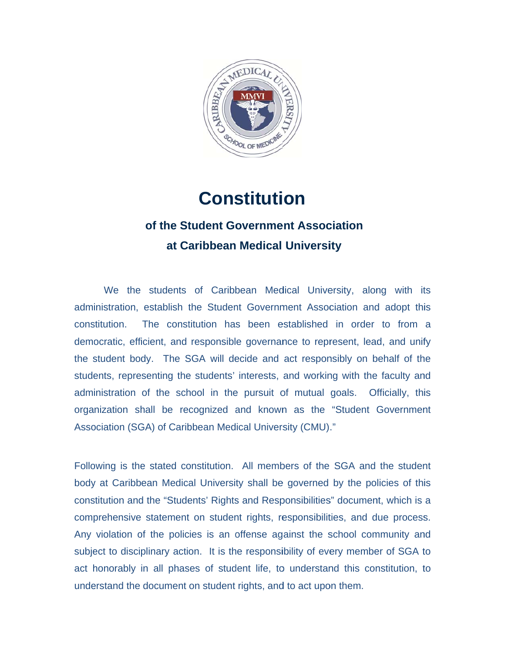

# **Constitution**

# **of the Student Government Association at C aribbean Medical Universi ity**

administration, establish the Student Government Association and adopt this constitution. democratic, efficient, and responsible governance to represent, lead, and unify the student body. The SGA will decide and act responsibly on behalf of the students, representing the students' interests, and working with the faculty and administration of the school in the pursuit of mutual goals. Officially, this organization shall be recognized and known as the "Student Government Association (SGA) of Caribbean Medical University (CMU)." We the students of Caribbean Medical University, along with its The constitution has been established in order to from a

Following is the stated constitution. All members of the SGA and the student body at Caribbean Medical University shall be governed by the policies of this constitution and the "Students' Rights and Responsibilities" document, which is a comprehensive statement on student rights, responsibilities, and due process. Any violation of the policies is an offense against the school community and subject to disciplinary action. It is the responsibility of every member of SGA to act honorably in all phases of student life, to understand this constitution, to understand the document on student rights, and to act upon them.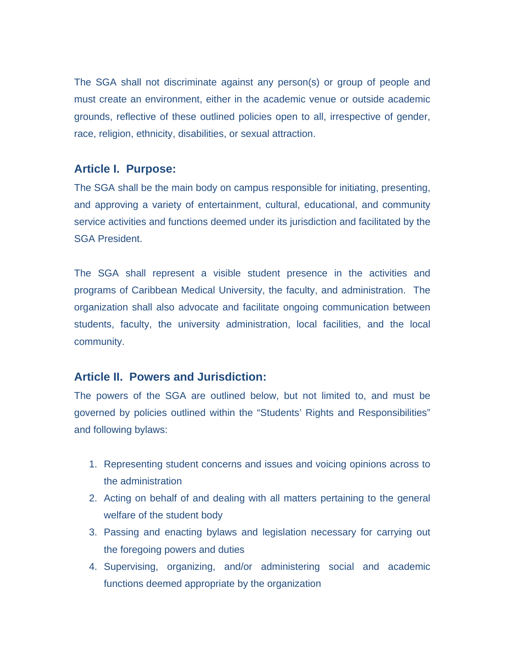The SGA shall not discriminate against any person(s) or group of people and must create an environment, either in the academic venue or outside academic grounds, reflective of these outlined policies open to all, irrespective of gender, race, religion, ethnicity, disabilities, or sexual attraction.

### **Article I. Purpose:**

The SGA shall be the main body on campus responsible for initiating, presenting, and approving a variety of entertainment, cultural, educational, and community service activities and functions deemed under its jurisdiction and facilitated by the SGA President.

The SGA shall represent a visible student presence in the activities and programs of Caribbean Medical University, the faculty, and administration. The organization shall also advocate and facilitate ongoing communication between students, faculty, the university administration, local facilities, and the local community.

# **Article II. Powers and Jurisdiction:**

The powers of the SGA are outlined below, but not limited to, and must be governed by policies outlined within the "Students' Rights and Responsibilities" and following bylaws:

- 1. Representing student concerns and issues and voicing opinions across to the administration
- 2. Acting on behalf of and dealing with all matters pertaining to the general welfare of the student body
- 3. Passing and enacting bylaws and legislation necessary for carrying out the foregoing powers and duties
- 4. Supervising, organizing, and/or administering social and academic functions deemed appropriate by the organization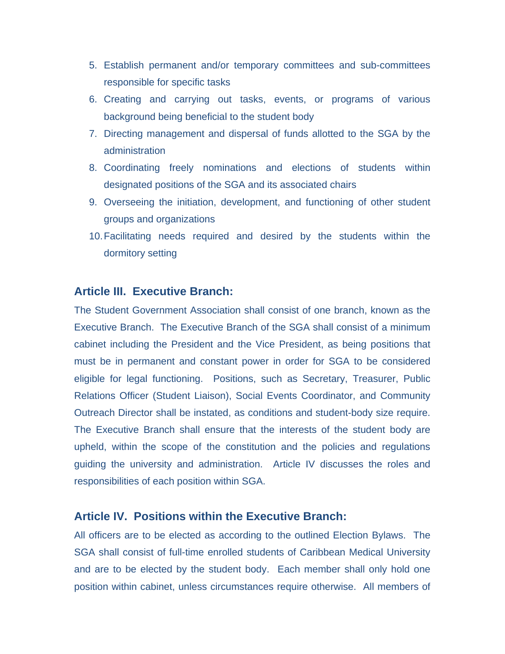- 5. Establish permanent and/or temporary committees and sub-committees responsible for specific tasks
- 6. Creating and carrying out tasks, events, or programs of various background being beneficial to the student body
- 7. Directing management and dispersal of funds allotted to the SGA by the administration
- 8. Coordinating freely nominations and elections of students within designated positions of the SGA and its associated chairs
- 9. Overseeing the initiation, development, and functioning of other student groups and organizations
- 10. Facilitating needs required and desired by the students within the dormitory setting

# **Article III. Executive Branch:**

The Student Government Association shall consist of one branch, known as the Executive Branch. The Executive Branch of the SGA shall consist of a minimum cabinet including the President and the Vice President, as being positions that must be in permanent and constant power in order for SGA to be considered eligible for legal functioning. Positions, such as Secretary, Treasurer, Public Relations Officer (Student Liaison), Social Events Coordinator, and Community Outreach Director shall be instated, as conditions and student-body size require. The Executive Branch shall ensure that the interests of the student body are upheld, within the scope of the constitution and the policies and regulations guiding the university and administration. Article IV discusses the roles and responsibilities of each position within SGA.

### **Article IV. Positions within the Executive Branch:**

All officers are to be elected as according to the outlined Election Bylaws. The SGA shall consist of full-time enrolled students of Caribbean Medical University and are to be elected by the student body. Each member shall only hold one position within cabinet, unless circumstances require otherwise. All members of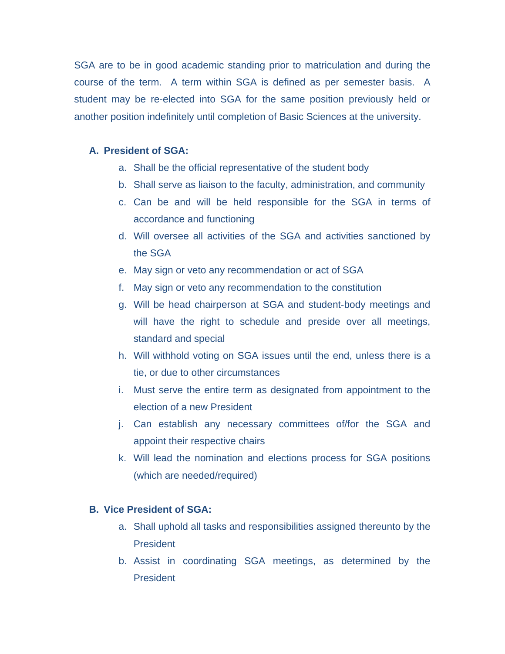SGA are to be in good academic standing prior to matriculation and during the course of the term. A term within SGA is defined as per semester basis. A student may be re-elected into SGA for the same position previously held or another position indefinitely until completion of Basic Sciences at the university.

#### **A. President of SGA:**

- a. Shall be the official representative of the student body
- b. Shall serve as liaison to the faculty, administration, and community
- c. Can be and will be held responsible for the SGA in terms of accordance and functioning
- d. Will oversee all activities of the SGA and activities sanctioned by the SGA
- e. May sign or veto any recommendation or act of SGA
- f. May sign or veto any recommendation to the constitution
- g. Will be head chairperson at SGA and student-body meetings and will have the right to schedule and preside over all meetings, standard and special
- h. Will withhold voting on SGA issues until the end, unless there is a tie, or due to other circumstances
- i. Must serve the entire term as designated from appointment to the election of a new President
- j. Can establish any necessary committees of/for the SGA and appoint their respective chairs
- k. Will lead the nomination and elections process for SGA positions (which are needed/required)

#### **B. Vice President of SGA:**

- a. Shall uphold all tasks and responsibilities assigned thereunto by the **President**
- b. Assist in coordinating SGA meetings, as determined by the **President**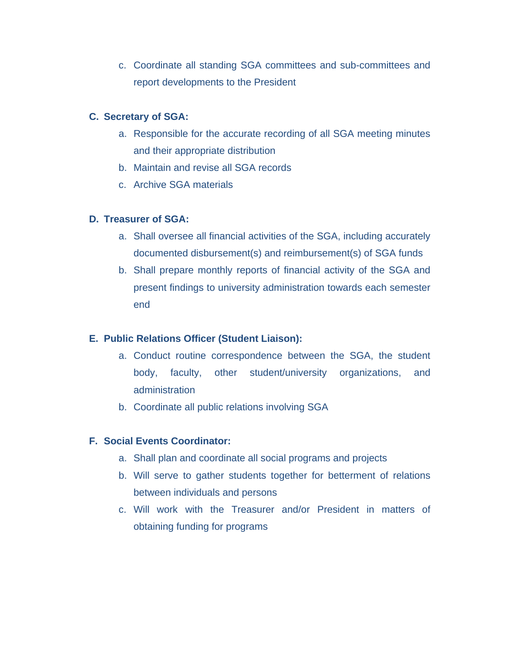c. Coordinate all standing SGA committees and sub-committees and report developments to the President

### **C. Secretary of SGA:**

- a. Responsible for the accurate recording of all SGA meeting minutes and their appropriate distribution
- b. Maintain and revise all SGA records
- c. Archive SGA materials

### **D. Treasurer of SGA:**

- a. Shall oversee all financial activities of the SGA, including accurately documented disbursement(s) and reimbursement(s) of SGA funds
- b. Shall prepare monthly reports of financial activity of the SGA and present findings to university administration towards each semester end

# **E. Public Relations Officer (Student Liaison):**

- a. Conduct routine correspondence between the SGA, the student body, faculty, other student/university organizations, and administration
- b. Coordinate all public relations involving SGA

#### **F. Social Events Coordinator:**

- a. Shall plan and coordinate all social programs and projects
- b. Will serve to gather students together for betterment of relations between individuals and persons
- c. Will work with the Treasurer and/or President in matters of obtaining funding for programs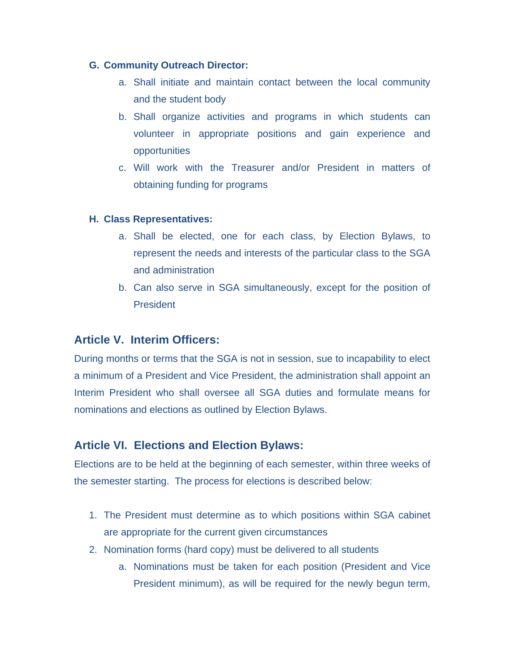#### **G. Community Outreach Director:**

- a. Shall initiate and maintain contact between the local community and the student body
- b. Shall organize activities and programs in which students can volunteer in appropriate positions and gain experience and opportunities
- c. Will work with the Treasurer and/or President in matters of obtaining funding for programs

#### **H. Class Representatives:**

- a. Shall be elected, one for each class, by Election Bylaws, to represent the needs and interests of the particular class to the SGA and administration
- b. Can also serve in SGA simultaneously, except for the position of **President**

# **Article V. Interim Officers:**

During months or terms that the SGA is not in session, sue to incapability to elect a minimum of a President and Vice President, the administration shall appoint an Interim President who shall oversee all SGA duties and formulate means for nominations and elections as outlined by Election Bylaws.

# **Article VI. Elections and Election Bylaws:**

Elections are to be held at the beginning of each semester, within three weeks of the semester starting. The process for elections is described below:

- 1. The President must determine as to which positions within SGA cabinet are appropriate for the current given circumstances
- 2. Nomination forms (hard copy) must be delivered to all students
	- a. Nominations must be taken for each position (President and Vice President minimum), as will be required for the newly begun term,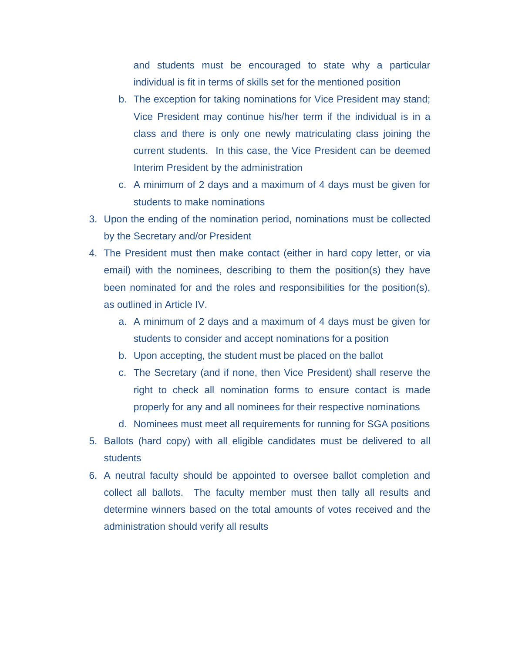and students must be encouraged to state why a particular individual is fit in terms of skills set for the mentioned position

- b. The exception for taking nominations for Vice President may stand; Vice President may continue his/her term if the individual is in a class and there is only one newly matriculating class joining the current students. In this case, the Vice President can be deemed Interim President by the administration
- c. A minimum of 2 days and a maximum of 4 days must be given for students to make nominations
- 3. Upon the ending of the nomination period, nominations must be collected by the Secretary and/or President
- 4. The President must then make contact (either in hard copy letter, or via email) with the nominees, describing to them the position(s) they have been nominated for and the roles and responsibilities for the position(s), as outlined in Article IV.
	- a. A minimum of 2 days and a maximum of 4 days must be given for students to consider and accept nominations for a position
	- b. Upon accepting, the student must be placed on the ballot
	- c. The Secretary (and if none, then Vice President) shall reserve the right to check all nomination forms to ensure contact is made properly for any and all nominees for their respective nominations
	- d. Nominees must meet all requirements for running for SGA positions
- 5. Ballots (hard copy) with all eligible candidates must be delivered to all students
- 6. A neutral faculty should be appointed to oversee ballot completion and collect all ballots. The faculty member must then tally all results and determine winners based on the total amounts of votes received and the administration should verify all results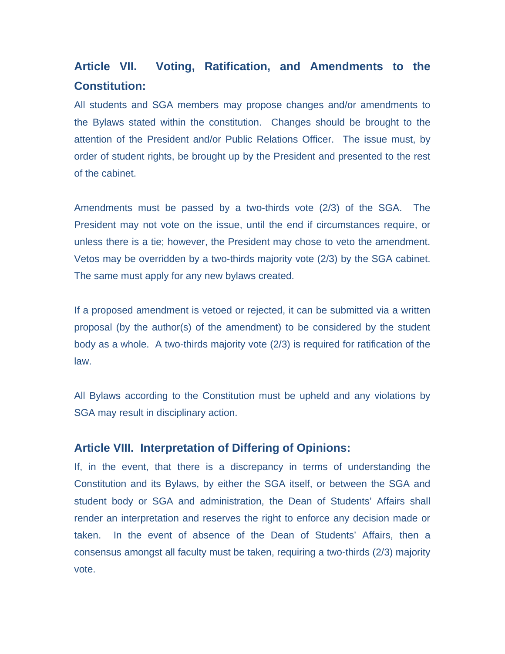# **Article VII. Voting, Ratification, and Amendments to the Constitution:**

All students and SGA members may propose changes and/or amendments to the Bylaws stated within the constitution. Changes should be brought to the attention of the President and/or Public Relations Officer. The issue must, by order of student rights, be brought up by the President and presented to the rest of the cabinet.

Amendments must be passed by a two-thirds vote (2/3) of the SGA. The President may not vote on the issue, until the end if circumstances require, or unless there is a tie; however, the President may chose to veto the amendment. Vetos may be overridden by a two-thirds majority vote (2/3) by the SGA cabinet. The same must apply for any new bylaws created.

If a proposed amendment is vetoed or rejected, it can be submitted via a written proposal (by the author(s) of the amendment) to be considered by the student body as a whole. A two-thirds majority vote (2/3) is required for ratification of the law.

All Bylaws according to the Constitution must be upheld and any violations by SGA may result in disciplinary action.

# **Article VIII. Interpretation of Differing of Opinions:**

If, in the event, that there is a discrepancy in terms of understanding the Constitution and its Bylaws, by either the SGA itself, or between the SGA and student body or SGA and administration, the Dean of Students' Affairs shall render an interpretation and reserves the right to enforce any decision made or taken. In the event of absence of the Dean of Students' Affairs, then a consensus amongst all faculty must be taken, requiring a two-thirds (2/3) majority vote.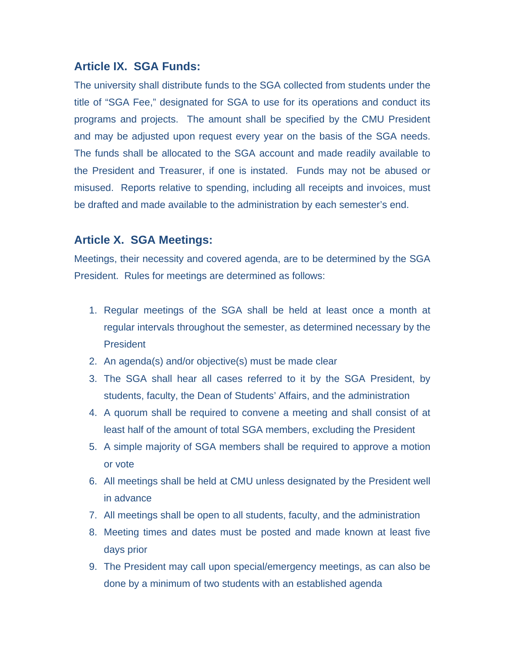# **Article IX. SGA Funds:**

The university shall distribute funds to the SGA collected from students under the title of "SGA Fee," designated for SGA to use for its operations and conduct its programs and projects. The amount shall be specified by the CMU President and may be adjusted upon request every year on the basis of the SGA needs. The funds shall be allocated to the SGA account and made readily available to the President and Treasurer, if one is instated. Funds may not be abused or misused. Reports relative to spending, including all receipts and invoices, must be drafted and made available to the administration by each semester's end.

# **Article X. SGA Meetings:**

Meetings, their necessity and covered agenda, are to be determined by the SGA President. Rules for meetings are determined as follows:

- 1. Regular meetings of the SGA shall be held at least once a month at regular intervals throughout the semester, as determined necessary by the **President**
- 2. An agenda(s) and/or objective(s) must be made clear
- 3. The SGA shall hear all cases referred to it by the SGA President, by students, faculty, the Dean of Students' Affairs, and the administration
- 4. A quorum shall be required to convene a meeting and shall consist of at least half of the amount of total SGA members, excluding the President
- 5. A simple majority of SGA members shall be required to approve a motion or vote
- 6. All meetings shall be held at CMU unless designated by the President well in advance
- 7. All meetings shall be open to all students, faculty, and the administration
- 8. Meeting times and dates must be posted and made known at least five days prior
- 9. The President may call upon special/emergency meetings, as can also be done by a minimum of two students with an established agenda